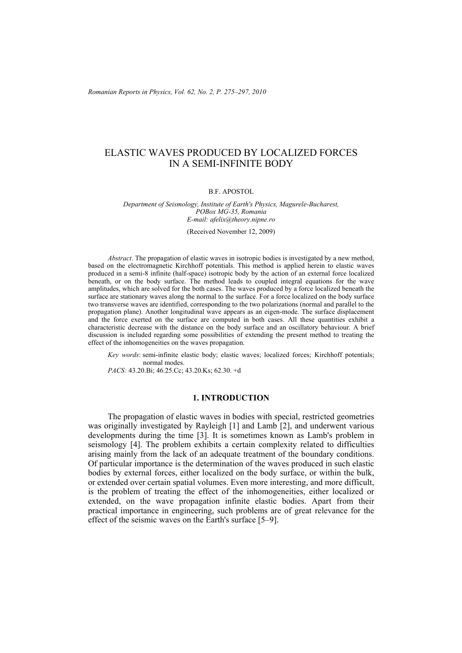*Romanian Reports in Physics, Vol. 62, No. 2, P. 275–297, 2010*

# ELASTIC WAVES PRODUCED BY LOCALIZED FORCES IN A SEMI-INFINITE BODY

#### B.F. APOSTOL

#### *Department of Seismology, Institute of Earth's Physics, Magurele-Bucharest, POBox MG-35, Romania E-mail: afelix@theory.nipne.ro*

(Received November 12, 2009)

*Abstract*. The propagation of elastic waves in isotropic bodies is investigated by a new method, based on the electromagnetic Kirchhoff potentials. This method is applied herein to elastic waves produced in a semi-8 infinite (half-space) isotropic body by the action of an external force localized beneath, or on the body surface. The method leads to coupled integral equations for the wave amplitudes, which are solved for the both cases. The waves produced by a force localized beneath the surface are stationary waves along the normal to the surface. For a force localized on the body surface two transverse waves are identified, corresponding to the two polarizations (normal and parallel to the propagation plane). Another longitudinal wave appears as an eigen-mode. The surface displacement and the force exerted on the surface are computed in both cases. All these quantities exhibit a characteristic decrease with the distance on the body surface and an oscillatory behaviour. A brief discussion is included regarding some possibilities of extending the present method to treating the effect of the inhomogeneities on the waves propagation.

*Key words*: semi-infinite elastic body; elastic waves; localized forces; Kirchhoff potentials; normal modes. *PACS:* 43.20.Bi; 46.25.Cc; 43.20.Ks; 62.30. +d

### **1. INTRODUCTION**

The propagation of elastic waves in bodies with special, restricted geometries was originally investigated by Rayleigh [1] and Lamb [2], and underwent various developments during the time [3]. It is sometimes known as Lamb's problem in seismology [4]. The problem exhibits a certain complexity related to difficulties arising mainly from the lack of an adequate treatment of the boundary conditions. Of particular importance is the determination of the waves produced in such elastic bodies by external forces, either localized on the body surface, or within the bulk, or extended over certain spatial volumes. Even more interesting, and more difficult, is the problem of treating the effect of the inhomogeneities, either localized or extended, on the wave propagation infinite elastic bodies. Apart from their practical importance in engineering, such problems are of great relevance for the effect of the seismic waves on the Earth's surface [5–9].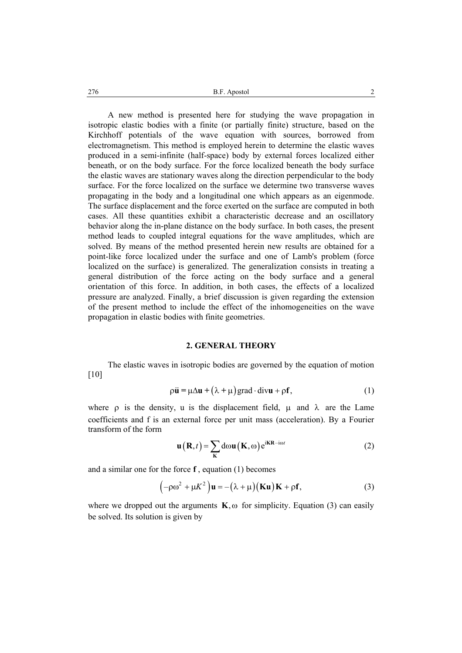A new method is presented here for studying the wave propagation in isotropic elastic bodies with a finite (or partially finite) structure, based on the Kirchhoff potentials of the wave equation with sources, borrowed from electromagnetism. This method is employed herein to determine the elastic waves produced in a semi-infinite (half-space) body by external forces localized either beneath, or on the body surface. For the force localized beneath the body surface the elastic waves are stationary waves along the direction perpendicular to the body surface. For the force localized on the surface we determine two transverse waves propagating in the body and a longitudinal one which appears as an eigenmode. The surface displacement and the force exerted on the surface are computed in both cases. All these quantities exhibit a characteristic decrease and an oscillatory behavior along the in-plane distance on the body surface. In both cases, the present method leads to coupled integral equations for the wave amplitudes, which are solved. By means of the method presented herein new results are obtained for a point-like force localized under the surface and one of Lamb's problem (force localized on the surface) is generalized. The generalization consists in treating a general distribution of the force acting on the body surface and a general orientation of this force. In addition, in both cases, the effects of a localized pressure are analyzed. Finally, a brief discussion is given regarding the extension of the present method to include the effect of the inhomogeneities on the wave propagation in elastic bodies with finite geometries.

#### **2. GENERAL THEORY**

The elastic waves in isotropic bodies are governed by the equation of motion [10]

$$
\rho \ddot{\mathbf{u}} = \mu \Delta \mathbf{u} + (\lambda + \mu) \text{grad} \cdot \text{div} \mathbf{u} + \rho \mathbf{f},
$$
 (1)

where  $\rho$  is the density, u is the displacement field,  $\mu$  and  $\lambda$  are the Lame coefficients and f is an external force per unit mass (acceleration). By a Fourier transform of the form

$$
\mathbf{u}\left(\mathbf{R},t\right) = \sum_{\mathbf{K}} d\omega \mathbf{u}\left(\mathbf{K},\omega\right) e^{i\mathbf{K}\mathbf{R}-i\omega t}
$$
 (2)

and a similar one for the force **f** , equation (1) becomes

$$
(-\rho \omega^2 + \mu K^2) \mathbf{u} = -(\lambda + \mu) (\mathbf{K} \mathbf{u}) \mathbf{K} + \rho \mathbf{f},
$$
 (3)

where we dropped out the arguments  $\mathbf{K}$ ,  $\omega$  for simplicity. Equation (3) can easily be solved. Its solution is given by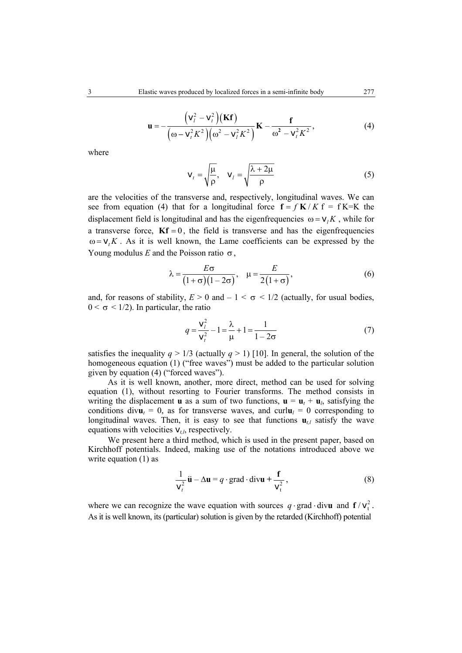$$
\mathbf{u} = -\frac{(\mathbf{v}_i^2 - \mathbf{v}_t^2)(\mathbf{K}\mathbf{f})}{(\omega - \mathbf{v}_t^2 K^2)(\omega^2 - \mathbf{v}_t^2 K^2)}\mathbf{K} - \frac{\mathbf{f}}{\omega^2 - \mathbf{v}_t^2 K^2},
$$
(4)

where

$$
\mathbf{v}_{t} = \sqrt{\frac{\mu}{\rho}}, \quad \mathbf{v}_{l} = \sqrt{\frac{\lambda + 2\mu}{\rho}}
$$
(5)

are the velocities of the transverse and, respectively, longitudinal waves. We can see from equation (4) that for a longitudinal force  $f = f K/K$  f = f K=K the displacement field is longitudinal and has the eigenfrequencies  $\omega = v/K$ , while for a transverse force,  $\mathbf{K}f = 0$ , the field is transverse and has the eigenfrequencies  $\omega = v_t K$ . As it is well known, the Lame coefficients can be expressed by the Young modulus  $E$  and the Poisson ratio  $\sigma$ ,

$$
\lambda = \frac{E\sigma}{\left(1+\sigma\right)\left(1-2\sigma\right)}, \quad \mu = \frac{E}{2\left(1+\sigma\right)},\tag{6}
$$

and, for reasons of stability,  $E > 0$  and  $-1 < \sigma < 1/2$  (actually, for usual bodies,  $0 < \sigma < 1/2$ ). In particular, the ratio

$$
q = \frac{v_i^2}{v_i^2} - 1 = \frac{\lambda}{\mu} + 1 = \frac{1}{1 - 2\sigma}
$$
 (7)

satisfies the inequality  $q > 1/3$  (actually  $q > 1$ ) [10]. In general, the solution of the homogeneous equation (1) ("free waves") must be added to the particular solution given by equation (4) ("forced waves").

As it is well known, another, more direct, method can be used for solving equation (1), without resorting to Fourier transforms. The method consists in writing the displacement **u** as a sum of two functions,  $\mathbf{u} = \mathbf{u}_t + \mathbf{u}_l$ , satisfying the conditions div $\mathbf{u}_t = 0$ , as for transverse waves, and curl $\mathbf{u}_l = 0$  corresponding to longitudinal waves. Then, it is easy to see that functions  $\mathbf{u}_{t,l}$  satisfy the wave equations with velocities  $v_{t,l}$ , respectively.

We present here a third method, which is used in the present paper, based on Kirchhoff potentials. Indeed, making use of the notations introduced above we write equation (1) as

$$
\frac{1}{v_t^2} \ddot{\mathbf{u}} - \Delta \mathbf{u} = q \cdot \text{grad} \cdot \text{div} \mathbf{u} + \frac{\mathbf{f}}{v_t^2},
$$
 (8)

where we can recognize the wave equation with sources  $q \cdot \text{grad } \cdot \text{div}{\bf u}$  and  $f / v_t^2$ . As it is well known, its (particular) solution is given by the retarded (Kirchhoff) potential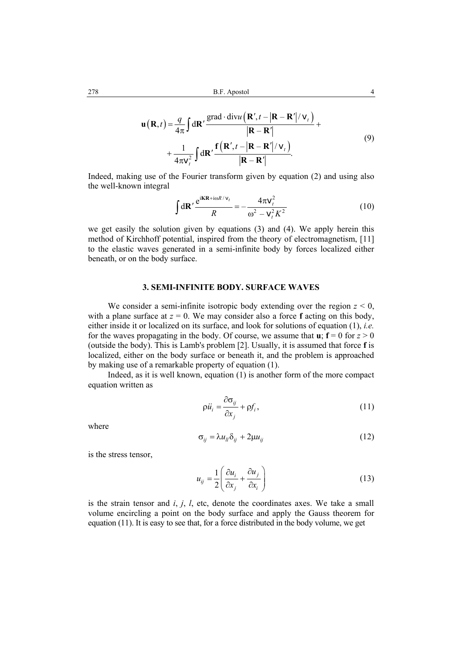$$
\mathbf{u}(\mathbf{R},t) = \frac{q}{4\pi} \int d\mathbf{R}' \frac{\text{grad} \cdot \text{div} u\left(\mathbf{R}',t-\left|\mathbf{R}-\mathbf{R}'\right|/v_t\right)}{\left|\mathbf{R}-\mathbf{R}'\right|} + \frac{1}{4\pi v_t^2} \int d\mathbf{R}' \frac{\mathbf{f}\left(\mathbf{R}',t-\left|\mathbf{R}-\mathbf{R}'\right|/v_t\right)}{\left|\mathbf{R}-\mathbf{R}'\right|}.
$$
\n(9)

Indeed, making use of the Fourier transform given by equation (2) and using also the well-known integral

$$
\int d\mathbf{R}' \frac{e^{i\mathbf{KR}+i\omega R/v_t}}{R} = -\frac{4\pi v_t^2}{\omega^2 - v_t^2 K^2}
$$
 (10)

we get easily the solution given by equations (3) and (4). We apply herein this method of Kirchhoff potential, inspired from the theory of electromagnetism, [11] to the elastic waves generated in a semi-infinite body by forces localized either beneath, or on the body surface.

#### **3. SEMI-INFINITE BODY. SURFACE WAVES**

We consider a semi-infinite isotropic body extending over the region  $z \leq 0$ , with a plane surface at  $z = 0$ . We may consider also a force **f** acting on this body, either inside it or localized on its surface, and look for solutions of equation (1), *i.e.* for the waves propagating in the body. Of course, we assume that **u**;  $f = 0$  for  $z > 0$ (outside the body). This is Lamb's problem [2]. Usually, it is assumed that force **f** is localized, either on the body surface or beneath it, and the problem is approached by making use of a remarkable property of equation (1).

Indeed, as it is well known, equation (1) is another form of the more compact equation written as

$$
\rho \ddot{u}_i = \frac{\partial \sigma_{ij}}{\partial x_j} + \rho f_i, \qquad (11)
$$

where

$$
\sigma_{ij} = \lambda u_{il} \delta_{ij} + 2\mu u_{ij} \tag{12}
$$

is the stress tensor,

$$
u_{ij} = \frac{1}{2} \left( \frac{\partial u_i}{\partial x_j} + \frac{\partial u_j}{\partial x_i} \right)
$$
 (13)

is the strain tensor and *i*, *j*, *l*, etc, denote the coordinates axes. We take a small volume encircling a point on the body surface and apply the Gauss theorem for equation (11). It is easy to see that, for a force distributed in the body volume, we get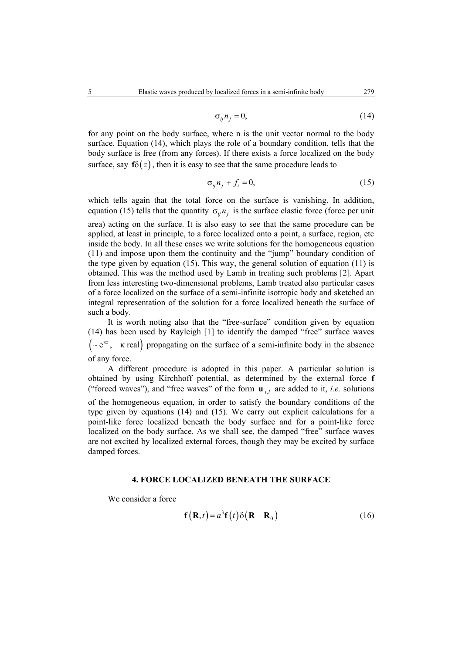$$
\sigma_{ij} n_j = 0,\tag{14}
$$

for any point on the body surface, where n is the unit vector normal to the body surface. Equation (14), which plays the role of a boundary condition, tells that the body surface is free (from any forces). If there exists a force localized on the body surface, say  $f\delta(z)$ , then it is easy to see that the same procedure leads to

$$
\sigma_{ij} n_j + f_i = 0,\tag{15}
$$

which tells again that the total force on the surface is vanishing. In addition, equation (15) tells that the quantity  $\sigma_{ij} n_i$  is the surface elastic force (force per unit

area) acting on the surface. It is also easy to see that the same procedure can be applied, at least in principle, to a force localized onto a point, a surface, region, etc inside the body. In all these cases we write solutions for the homogeneous equation (11) and impose upon them the continuity and the "jump" boundary condition of the type given by equation (15). This way, the general solution of equation (11) is obtained. This was the method used by Lamb in treating such problems [2]. Apart from less interesting two-dimensional problems, Lamb treated also particular cases of a force localized on the surface of a semi-infinite isotropic body and sketched an integral representation of the solution for a force localized beneath the surface of such a body.

It is worth noting also that the "free-surface" condition given by equation (14) has been used by Rayleigh [1] to identify the damped "free" surface waves ( ~ e<sup>κz</sup>, κ real) propagating on the surface of a semi-infinite body in the absence of any force.

A different procedure is adopted in this paper. A particular solution is obtained by using Kirchhoff potential, as determined by the external force **f** ("forced waves"), and "free waves" of the form  $\mathbf{u}_{t}$  are added to it, *i.e.* solutions of the homogeneous equation, in order to satisfy the boundary conditions of the type given by equations (14) and (15). We carry out explicit calculations for a point-like force localized beneath the body surface and for a point-like force localized on the body surface. As we shall see, the damped "free" surface waves are not excited by localized external forces, though they may be excited by surface damped forces.

# **4. FORCE LOCALIZED BENEATH THE SURFACE**

We consider a force

$$
\mathbf{f}(\mathbf{R},t) = a^3 \mathbf{f}(t) \delta(\mathbf{R} - \mathbf{R}_0)
$$
 (16)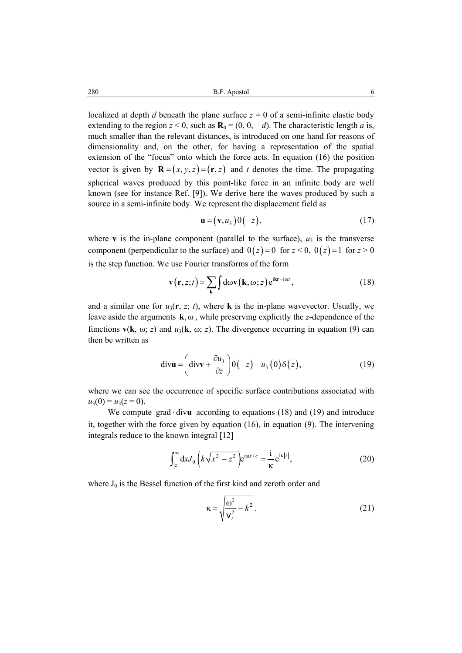280 B.F. Apostol 6

localized at depth *d* beneath the plane surface  $z = 0$  of a semi-infinite elastic body extending to the region  $z < 0$ , such as  $\mathbf{R}_0 = (0, 0, -d)$ . The characteristic length *a* is, much smaller than the relevant distances, is introduced on one hand for reasons of dimensionality and, on the other, for having a representation of the spatial extension of the "focus" onto which the force acts. In equation (16) the position vector is given by  $\mathbf{R} = (x, y, z) = (\mathbf{r}, z)$  and *t* denotes the time. The propagating spherical waves produced by this point-like force in an infinite body are well known (see for instance Ref. [9]). We derive here the waves produced by such a source in a semi-infinite body. We represent the displacement field as

$$
\mathbf{u} = (\mathbf{v}, u_3) \Theta(-z), \tag{17}
$$

where **v** is the in-plane component (parallel to the surface),  $u_3$  is the transverse component (perpendicular to the surface) and  $\theta(z) = 0$  for  $z < 0$ ,  $\theta(z) = 1$  for  $z > 0$ is the step function. We use Fourier transforms of the form

$$
\mathbf{v}(\mathbf{r}, z; t) = \sum_{\mathbf{k}} \int d\omega \mathbf{v}(\mathbf{k}, \omega; z) e^{i\mathbf{k}\mathbf{r} - i\omega t},
$$
 (18)

and a similar one for  $u_3(\mathbf{r}, z; t)$ , where **k** is the in-plane wavevector. Usually, we leave aside the arguments  $\mathbf{k}, \omega$ , while preserving explicitly the *z*-dependence of the functions  $\mathbf{v}(\mathbf{k}, \omega; z)$  and  $u_3(\mathbf{k}, \omega; z)$ . The divergence occurring in equation (9) can then be written as

$$
\operatorname{div} \mathbf{u} = \left( \operatorname{div} \mathbf{v} + \frac{\partial u_3}{\partial z} \right) \Theta(-z) - u_3(0) \delta(z), \tag{19}
$$

where we can see the occurrence of specific surface contributions associated with  $u_3(0) = u_3(z=0)$ .

We compute grad  $div$ **u** according to equations (18) and (19) and introduce it, together with the force given by equation (16), in equation (9). The intervening integrals reduce to the known integral [12]

$$
\int_{|z|}^{\infty} dx J_0 \left( k \sqrt{x^2 - z^2} \right) e^{i \omega x/c} = \frac{i}{\kappa} e^{i \kappa |z|},\tag{20}
$$

where  $J_0$  is the Bessel function of the first kind and zeroth order and

$$
\kappa = \sqrt{\frac{\omega^2}{v_t^2} - k^2}.
$$
 (21)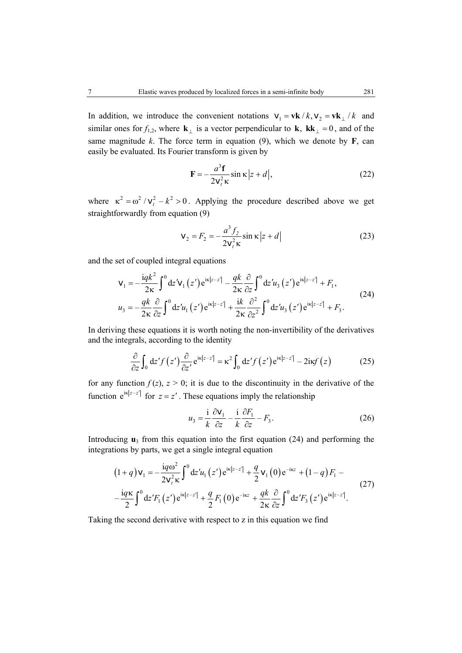In addition, we introduce the convenient notations  $v_1 = v k / k$ ,  $v_2 = v k / k$  and similar ones for  $f_{1,2}$ , where  $\mathbf{k}_{\perp}$  is a vector perpendicular to  $\mathbf{k}$ ,  $\mathbf{k}\mathbf{k}_{\perp} = 0$ , and of the same magnitude  $k$ . The force term in equation (9), which we denote by  $\bf{F}$ , can easily be evaluated. Its Fourier transform is given by

$$
\mathbf{F} = -\frac{a^3 \mathbf{f}}{2\mathbf{v}_i^2 \kappa} \sin \kappa \left| z + d \right|,\tag{22}
$$

where  $\kappa^2 = \omega^2 / v_r^2 - k^2 > 0$ . Applying the procedure described above we get straightforwardly from equation (9)

$$
\mathbf{v}_2 = F_2 = -\frac{a^3 f_2}{2\mathbf{v}_t^2 \kappa} \sin \kappa \left| z + d \right| \tag{23}
$$

and the set of coupled integral equations

$$
\mathbf{v}_{1} = -\frac{iqk^{2}}{2\kappa} \int_{0}^{0} dz' \mathbf{v}_{1}(z') e^{i\kappa|z-z'|} - \frac{qk}{2\kappa} \frac{\partial}{\partial z} \int_{0}^{0} dz' u_{3}(z') e^{i\kappa|z-z'|} + F_{1},
$$
  
\n
$$
u_{3} = -\frac{qk}{2\kappa} \frac{\partial}{\partial z} \int_{0}^{0} dz' u_{1}(z') e^{i\kappa|z-z'|} + \frac{i k}{2\kappa} \frac{\partial^{2}}{\partial z^{2}} \int_{0}^{0} dz' u_{3}(z') e^{i\kappa|z-z'|} + F_{3}.
$$
\n(24)

In deriving these equations it is worth noting the non-invertibility of the derivatives and the integrals, according to the identity

$$
\frac{\partial}{\partial z} \int_0 dz' f(z') \frac{\partial}{\partial z'} e^{i\kappa |z - z'|} = \kappa^2 \int_0 dz' f(z') e^{i\kappa |z - z'|} - 2i\kappa f(z)
$$
 (25)

for any function  $f(z)$ ,  $z > 0$ ; it is due to the discontinuity in the derivative of the function  $e^{ik|z-z'|}$  for  $z = z'$ . These equations imply the relationship

$$
u_3 = \frac{i}{k} \frac{\partial v_1}{\partial z} - \frac{i}{k} \frac{\partial F_1}{\partial z} - F_3.
$$
 (26)

Introducing  $\mathbf{u}_3$  from this equation into the first equation (24) and performing the integrations by parts, we get a single integral equation

$$
(1+q)\mathbf{v}_{1} = -\frac{i q \omega^{2}}{2 \mathbf{v}_{i}^{2} \kappa} \int_{0}^{0} dz' u_{1}(z') e^{i\kappa |z-z'|} + \frac{q}{2} \mathbf{v}_{1}(0) e^{-i\kappa z} + (1-q) F_{1} - \frac{i q \kappa}{2} \int_{0}^{0} dz' F_{1}(z') e^{i\kappa |z-z'|} + \frac{q}{2} F_{1}(0) e^{-i\kappa z} + \frac{q k}{2 \kappa} \frac{\partial}{\partial z} \int_{0}^{0} dz' F_{3}(z') e^{i\kappa |z-z'|}.
$$
 (27)

Taking the second derivative with respect to z in this equation we find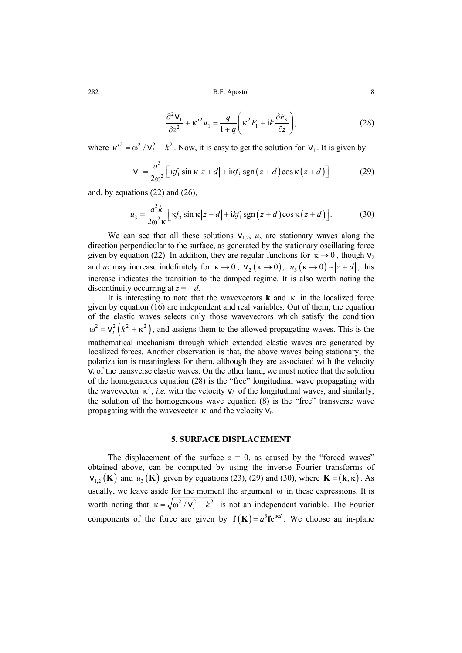$$
\frac{\partial^2 \mathbf{v}_1}{\partial z^2} + \kappa'^2 \mathbf{v}_1 = \frac{q}{1+q} \left( \kappa^2 F_1 + i \kappa \frac{\partial F_3}{\partial z} \right),\tag{28}
$$

where  $\kappa'^2 = \omega^2 / v_i^2 - k^2$ . Now, it is easy to get the solution for  $v_1$ . It is given by

$$
\mathbf{v}_1 = \frac{a^3}{2\omega^2} \Big[ \kappa f_1 \sin \kappa \, |z + d| + \mathrm{i} \kappa f_3 \, \mathrm{sgn} \left( z + d \right) \cos \kappa \left( z + d \right) \Big] \tag{29}
$$

and, by equations (22) and (26),

$$
u_3 = \frac{a^3 k}{2\omega^2 \kappa} \Big[ \kappa f_3 \sin \kappa \Big| z + d \Big| + i k f_1 \operatorname{sgn} \Big( z + d \Big) \cos \kappa \Big( z + d \Big) \Big]. \tag{30}
$$

We can see that all these solutions  $V_{1,2}$ ,  $u_3$  are stationary waves along the direction perpendicular to the surface, as generated by the stationary oscillating force given by equation (22). In addition, they are regular functions for  $\kappa \rightarrow 0$ , though  $v_2$ and *u*<sub>3</sub> may increase indefinitely for  $\kappa \to 0$ ,  $v_2 (\kappa \to 0)$ ,  $u_3 (\kappa \to 0)$  ∼  $|z+d|$ ; this increase indicates the transition to the damped regime. It is also worth noting the discontinuity occurring at  $z = -d$ .

It is interesting to note that the wavevectors **k** and κ in the localized force given by equation (16) are independent and real variables. Out of them, the equation of the elastic waves selects only those wavevectors which satisfy the condition  $\omega^2 = v_t^2 (k^2 + \kappa^2)$ , and assigns them to the allowed propagating waves. This is the mathematical mechanism through which extended elastic waves are generated by localized forces. Another observation is that, the above waves being stationary, the polarization is meaningless for them, although they are associated with the velocity  $v_t$  of the transverse elastic waves. On the other hand, we must notice that the solution of the homogeneous equation (28) is the "free" longitudinal wave propagating with the wavevector  $\kappa'$ , *i.e.* with the velocity  $v_l$  of the longitudinal waves, and similarly, the solution of the homogeneous wave equation (8) is the "free" transverse wave propagating with the wavevector κ and the velocity v*t*.

### **5. SURFACE DISPLACEMENT**

The displacement of the surface  $z = 0$ , as caused by the "forced waves" obtained above, can be computed by using the inverse Fourier transforms of  $v_{1,2}$  (**K**) and  $u_3$  (**K**) given by equations (23), (29) and (30), where  $\mathbf{K} = (\mathbf{k}, \kappa)$ . As usually, we leave aside for the moment the argument  $\omega$  in these expressions. It is worth noting that  $\kappa = \sqrt{\omega^2 / v_t^2 - k^2}$  is not an independent variable. The Fourier components of the force are given by  $f(K) = a^3 f e^{i\kappa d}$ . We choose an in-plane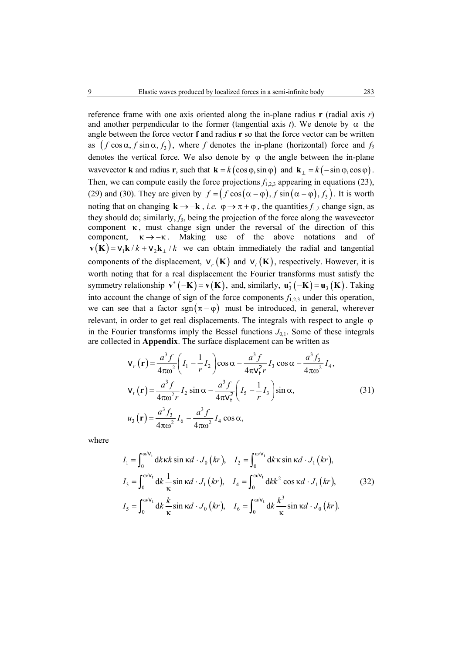reference frame with one axis oriented along the in-plane radius **r** (radial axis *r*) and another perpendicular to the former (tangential axis *t*). We denote by  $\alpha$  the angle between the force vector **f** and radius **r** so that the force vector can be written as  $(f \cos \alpha, f \sin \alpha, f_3)$ , where *f* denotes the in-plane (horizontal) force and  $f_3$ denotes the vertical force. We also denote by  $\varphi$  the angle between the in-plane wavevector **k** and radius **r**, such that  $\mathbf{k} = k(\cos \varphi, \sin \varphi)$  and  $\mathbf{k}_{\perp} = k(-\sin \varphi, \cos \varphi)$ . Then, we can compute easily the force projections  $f_{1,2,3}$  appearing in equations (23), (29) and (30). They are given by  $f = (f \cos(\alpha - \varphi), f \sin(\alpha - \varphi), f_3)$ . It is worth noting that on changing  $\mathbf{k} \to -\mathbf{k}$ , *i.e.*  $\varphi \to \pi + \varphi$ , the quantities  $f_{1,2}$  change sign, as they should do; similarly,  $f_3$ , being the projection of the force along the wavevector component  $\kappa$ , must change sign under the reversal of the direction of this component,  $\kappa \rightarrow -\kappa$ . Making use of the above notations and of  $\mathbf{v}(\mathbf{K}) = \mathbf{v}_1 \mathbf{k} / k + \mathbf{v}_2 \mathbf{k} / k$  we can obtain immediately the radial and tangential components of the displacement,  $v_r(K)$  and  $v_t(K)$ , respectively. However, it is worth noting that for a real displacement the Fourier transforms must satisfy the symmetry relationship  $\mathbf{v}^*(-\mathbf{K}) = \mathbf{v}(\mathbf{K})$ , and, similarly,  $\mathbf{u}_3^*(-\mathbf{K}) = \mathbf{u}_3(\mathbf{K})$ . Taking into account the change of sign of the force components  $f_{1,2,3}$  under this operation, we can see that a factor sgn ( $\pi - \varphi$ ) must be introduced, in general, wherever relevant, in order to get real displacements. The integrals with respect to angle ϕ in the Fourier transforms imply the Bessel functions  $J_{0,1}$ . Some of these integrals are collected in **Appendix**. The surface displacement can be written as

$$
\mathbf{v}_{r}(\mathbf{r}) = \frac{a^{3} f}{4\pi \omega^{2}} \left( I_{1} - \frac{1}{r} I_{2} \right) \cos \alpha - \frac{a^{3} f}{4\pi \mathbf{v}_{t}^{2} r} I_{3} \cos \alpha - \frac{a^{3} f_{3}}{4\pi \omega^{2}} I_{4},
$$
\n
$$
\mathbf{v}_{t}(\mathbf{r}) = \frac{a^{3} f}{4\pi \omega^{2} r} I_{2} \sin \alpha - \frac{a^{3} f}{4\pi \mathbf{v}_{t}^{2}} \left( I_{5} - \frac{1}{r} I_{3} \right) \sin \alpha,
$$
\n
$$
u_{3}(\mathbf{r}) = \frac{a^{3} f_{3}}{4\pi \omega^{2}} I_{6} - \frac{a^{3} f}{4\pi \omega^{2}} I_{4} \cos \alpha,
$$
\n(31)

where

$$
I_1 = \int_0^{\omega/v_t} dk \kappa k \sin \kappa d \cdot J_0 \left( kr \right), \quad I_2 = \int_0^{\omega/v_t} dk \kappa \sin \kappa d \cdot J_1 \left( kr \right),
$$
  
\n
$$
I_3 = \int_0^{\omega/v_t} dk \frac{1}{\kappa} \sin \kappa d \cdot J_1 \left( kr \right), \quad I_4 = \int_0^{\omega/v_t} dk^2 \cos \kappa d \cdot J_1 \left( kr \right), \quad (32)
$$
  
\n
$$
I_5 = \int_0^{\omega/v_t} dk \frac{k}{\kappa} \sin \kappa d \cdot J_0 \left( kr \right), \quad I_6 = \int_0^{\omega/v_t} dk \frac{k^3}{\kappa} \sin \kappa d \cdot J_0 \left( kr \right).
$$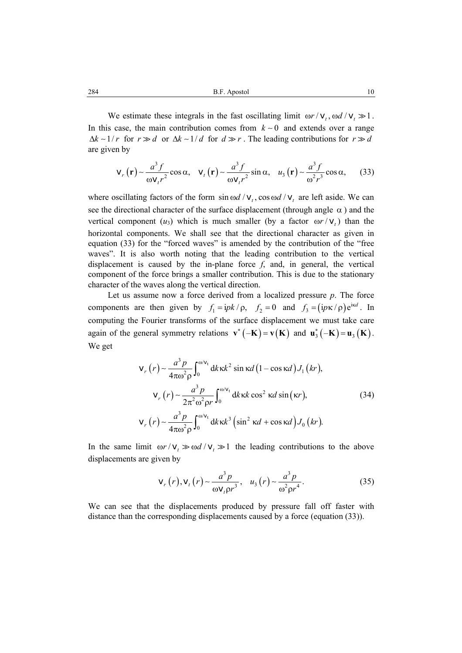284 B.F. Apostol 10

We estimate these integrals in the fast oscillating limit  $\omega r / v_t$ ,  $\omega d / v_t \gg 1$ . In this case, the main contribution comes from  $k \sim 0$  and extends over a range  $\Delta k \sim 1/r$  for  $r \gg d$  or  $\Delta k \sim 1/d$  for  $d \gg r$ . The leading contributions for  $r \gg d$ are given by

$$
\mathbf{v}_r(\mathbf{r}) \sim \frac{a^3 f}{\omega \mathbf{v}_r r^2} \cos \alpha, \quad \mathbf{v}_t(\mathbf{r}) \sim \frac{a^3 f}{\omega \mathbf{v}_r r^2} \sin \alpha, \quad u_3(\mathbf{r}) \sim \frac{a^3 f}{\omega^2 r^3} \cos \alpha, \tag{33}
$$

where oscillating factors of the form  $\sin \omega d / v_t$ ,  $\cos \omega d / v_t$  are left aside. We can see the directional character of the surface displacement (through angle  $\alpha$ ) and the vertical component (*u*<sub>3</sub>) which is much smaller (by a factor  $\omega r / v_t$ ) than the horizontal components. We shall see that the directional character as given in equation (33) for the "forced waves" is amended by the contribution of the "free waves". It is also worth noting that the leading contribution to the vertical displacement is caused by the in-plane force  $f$ , and, in general, the vertical component of the force brings a smaller contribution. This is due to the stationary character of the waves along the vertical direction.

Let us assume now a force derived from a localized pressure *p*. The force components are then given by  $f_1 = i p k / \rho$ ,  $f_2 = 0$  and  $f_3 = (i p \kappa / \rho) e^{i \kappa d}$ . In computing the Fourier transforms of the surface displacement we must take care again of the general symmetry relations  $\mathbf{v}^*(-\mathbf{K}) = \mathbf{v}(\mathbf{K})$  and  $\mathbf{u}_3^*(-\mathbf{K}) = \mathbf{u}_3(\mathbf{K})$ . We get

$$
\mathbf{v}_r(r) \sim \frac{a^3 p}{4\pi \omega^2 \rho} \int_0^{\omega/v_t} dk \kappa k^2 \sin \kappa d (1 - \cos \kappa d) J_1(kr),
$$
  

$$
\mathbf{v}_r(r) \sim \frac{a^3 p}{2\pi^2 \omega^2 \rho r} \int_0^{\omega/v_t} dk \kappa k \cos^2 \kappa d \sin (\kappa r),
$$
(34)  

$$
\mathbf{v}_r(r) \sim \frac{a^3 p}{4\pi \omega^2 \rho} \int_0^{\omega/v_t} dk \kappa k^3 (\sin^2 \kappa d + \cos \kappa d) J_0(kr).
$$

In the same limit  $\omega r / v_t \gg \omega d / v_t \gg 1$  the leading contributions to the above displacements are given by

$$
v_r(r), v_t(r) \sim \frac{a^3 p}{\omega v_t \rho r^3}, u_3(r) \sim \frac{a^3 p}{\omega^2 \rho r^4}.
$$
 (35)

We can see that the displacements produced by pressure fall off faster with distance than the corresponding displacements caused by a force (equation (33)).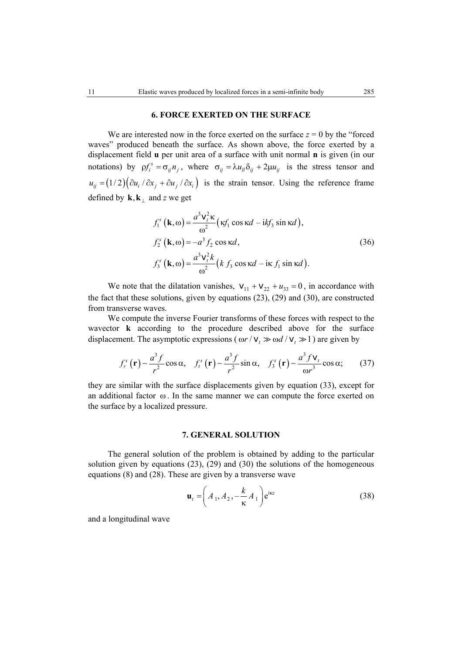### **6. FORCE EXERTED ON THE SURFACE**

We are interested now in the force exerted on the surface  $z = 0$  by the "forced" waves" produced beneath the surface. As shown above, the force exerted by a displacement field **u** per unit area of a surface with unit normal **n** is given (in our notations) by  $\rho f_i^s = \sigma_{ij} n_j$ , where  $\sigma_{ij} = \lambda u_{li} \delta_{ij} + 2\mu u_{ij}$  is the stress tensor and  $u_{ii} = (1/2)(\partial u_i / \partial x_i + \partial u_i / \partial x_i)$  is the strain tensor. Using the reference frame defined by  $\mathbf{k}, \mathbf{k}_{\perp}$  and *z* we get

$$
f_1^s (\mathbf{k}, \omega) = \frac{a^3 \mathbf{v}_t^2 \kappa}{\omega^2} (\kappa f_1 \cos \kappa d - i k f_3 \sin \kappa d),
$$
  
\n
$$
f_2^s (\mathbf{k}, \omega) = -a^3 f_2 \cos \kappa d,
$$
  
\n
$$
f_3^s (\mathbf{k}, \omega) = \frac{a^3 \mathbf{v}_t^2 k}{\omega^2} (k f_3 \cos \kappa d - i \kappa f_1 \sin \kappa d).
$$
\n(36)

We note that the dilatation vanishes,  $v_{11} + v_{22} + u_{33} = 0$ , in accordance with the fact that these solutions, given by equations (23), (29) and (30), are constructed from transverse waves.

We compute the inverse Fourier transforms of these forces with respect to the wavector **k** according to the procedure described above for the surface displacement. The asymptotic expressions ( $\omega r / v_t \gg \omega d / v_t \gg 1$ ) are given by

$$
f_r^s(\mathbf{r}) \sim \frac{a^3 f}{r^2} \cos \alpha, \quad f_t^s(\mathbf{r}) \sim \frac{a^3 f}{r^2} \sin \alpha, \quad f_3^s(\mathbf{r}) \sim \frac{a^3 f \mathbf{v}_t}{\omega r^3} \cos \alpha; \tag{37}
$$

they are similar with the surface displacements given by equation (33), except for an additional factor ω. In the same manner we can compute the force exerted on the surface by a localized pressure.

### **7. GENERAL SOLUTION**

The general solution of the problem is obtained by adding to the particular solution given by equations (23), (29) and (30) the solutions of the homogeneous equations (8) and (28). These are given by a transverse wave

$$
\mathbf{u}_t = \left(A_1, A_2, -\frac{k}{\kappa} A_1\right) e^{i\kappa z}
$$
 (38)

and a longitudinal wave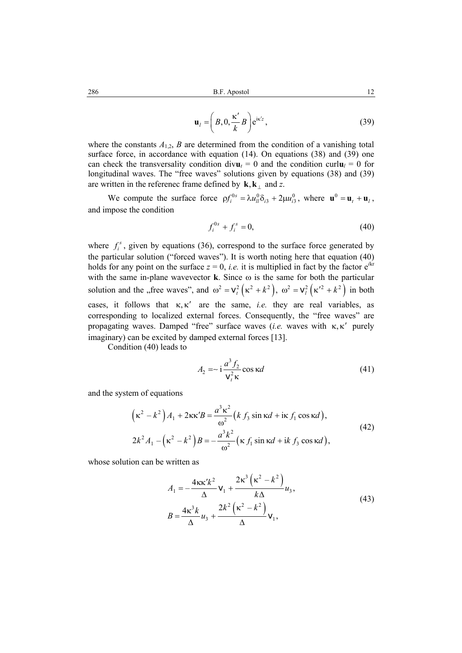$$
\mathbf{u}_{l} = \left(B, 0, \frac{\kappa'}{k} B\right) e^{i\kappa' z},\tag{39}
$$

where the constants  $A_{1,2}$ ,  $B$  are determined from the condition of a vanishing total surface force, in accordance with equation (14). On equations (38) and (39) one can check the transversality condition div $\mathbf{u}_t = 0$  and the condition curl $\mathbf{u}_l = 0$  for longitudinal waves. The "free waves" solutions given by equations (38) and (39) are written in the referenec frame defined by  $\mathbf{k}, \mathbf{k}_{\perp}$  and *z*.

We compute the surface force  $\rho f_i^{0s} = \lambda u_{il}^0 \delta_{i3} + 2\mu u_{i3}^0$ , where  $\mathbf{u}^0 = \mathbf{u}_t + \mathbf{u}_l$ , and impose the condition

$$
f_i^{0s} + f_i^s = 0,
$$
\n(40)

where  $f_i^s$ , given by equations (36), correspond to the surface force generated by the particular solution ("forced waves"). It is worth noting here that equation (40) holds for any point on the surface  $z = 0$ , *i.e.* it is multiplied in fact by the factor  $e^{ikr}$ with the same in-plane wavevector **k**. Since  $\omega$  is the same for both the particular solution and the "free waves", and  $\omega^2 = v_t^2 ( \kappa^2 + k^2 )$ ,  $\omega^2 = v_t^2 ( \kappa^2 + k^2 )$  in both cases, it follows that  $\kappa, \kappa'$  are the same, *i.e.* they are real variables, as corresponding to localized external forces. Consequently, the "free waves" are propagating waves. Damped "free" surface waves (*i.e.* waves with κ, κ' purely imaginary) can be excited by damped external forces [13].

Condition (40) leads to

$$
A_2 = \frac{a^3 f_2}{\mathbf{v}_t^2 \kappa} \cos \kappa d \tag{41}
$$

and the system of equations

$$
\left(\kappa^2 - k^2\right) A_1 + 2\kappa\kappa' B = \frac{a^3 \kappa^2}{\omega^2} \left(k f_3 \sin \kappa d + i\kappa f_1 \cos \kappa d\right),
$$
  
\n
$$
2k^2 A_1 - \left(\kappa^2 - k^2\right) B = -\frac{a^3 k^2}{\omega^2} \left(\kappa f_1 \sin \kappa d + i\kappa f_3 \cos \kappa d\right),
$$
\n(42)

whose solution can be written as

$$
A_1 = -\frac{4\kappa\kappa'k^2}{\Delta} \mathbf{v}_1 + \frac{2\kappa^3(\kappa^2 - k^2)}{k\Delta} u_3,
$$
  
\n
$$
B = \frac{4\kappa^3k}{\Delta} u_3 + \frac{2k^2(\kappa^2 - k^2)}{\Delta} \mathbf{v}_1,
$$
\n(43)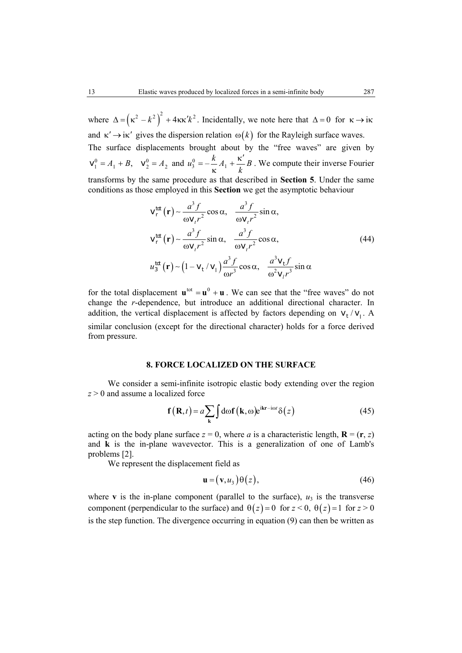where  $\Delta = (\kappa^2 - k^2)^2 + 4\kappa\kappa' k^2$ . Incidentally, we note here that  $\Delta = 0$  for  $\kappa \rightarrow i\kappa$ and  $\kappa' \rightarrow i\kappa'$  gives the dispersion relation  $\omega(k)$  for the Rayleigh surface waves. The surface displacements brought about by the "free waves" are given by  $\mathbf{v}_1^0 = A_1 + B$ ,  $\mathbf{v}_2^0 = A_2$  and  $u_3^0 = -\frac{k}{\kappa}A_1 + \frac{\kappa'}{k}B$  $=-\frac{k}{4}A_{1}+\frac{\kappa^{\prime}}{4}$ κ . We compute their inverse Fourier transforms by the same procedure as that described in **Section 5**. Under the same conditions as those employed in this **Section** we get the asymptotic behaviour

$$
v_r^{tot}(\mathbf{r}) \sim \frac{a^3 f}{\omega v_r r^2} \cos \alpha, \quad \frac{a^3 f}{\omega v_r r^2} \sin \alpha,
$$
  

$$
v_r^{tot}(\mathbf{r}) \sim \frac{a^3 f}{\omega v_r r^2} \sin \alpha, \quad \frac{a^3 f}{\omega v_r r^2} \cos \alpha,
$$
 (44)  

$$
u_3^{tot}(\mathbf{r}) \sim (1 - v_t / v_1) \frac{a^3 f}{\omega r^3} \cos \alpha, \quad \frac{a^3 v_t f}{\omega^2 v_r r^3} \sin \alpha
$$

for the total displacement  $\mathbf{u}^{\text{tot}} = \mathbf{u}^0 + \mathbf{u}$ . We can see that the "free waves" do not change the *r*-dependence, but introduce an additional directional character. In addition, the vertical displacement is affected by factors depending on  $v_t / v_l$ . A similar conclusion (except for the directional character) holds for a force derived from pressure.

### **8. FORCE LOCALIZED ON THE SURFACE**

We consider a semi-infinite isotropic elastic body extending over the region *z* > 0 and assume a localized force

$$
\mathbf{f}(\mathbf{R},t) = a \sum_{\mathbf{k}} \int d\omega \mathbf{f}(\mathbf{k},\omega) e^{i\mathbf{k}\mathbf{r}-i\omega t} \delta(z)
$$
 (45)

acting on the body plane surface  $z = 0$ , where *a* is a characteristic length,  $\mathbf{R} = (\mathbf{r}, z)$ and **k** is the in-plane wavevector. This is a generalization of one of Lamb's problems [2].

We represent the displacement field as

$$
\mathbf{u} = (\mathbf{v}, u_3) \Theta(z), \tag{46}
$$

where **v** is the in-plane component (parallel to the surface),  $u_3$  is the transverse component (perpendicular to the surface) and  $\theta(z) = 0$  for  $z < 0$ ,  $\theta(z) = 1$  for  $z > 0$ is the step function. The divergence occurring in equation (9) can then be written as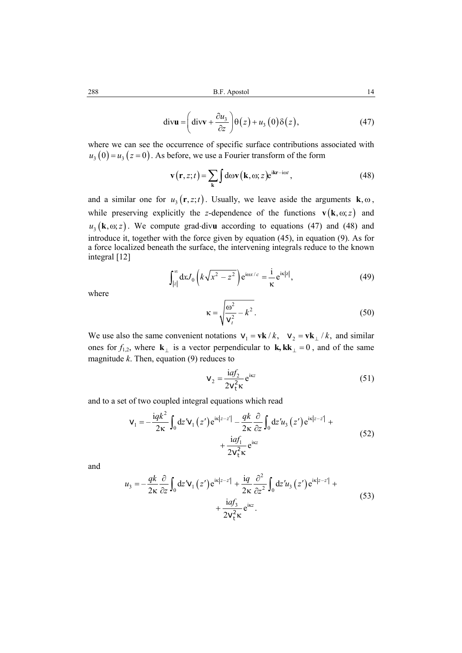$$
\operatorname{div} \mathbf{u} = \left( \operatorname{div} \mathbf{v} + \frac{\partial u_3}{\partial z} \right) \Theta(z) + u_3(0) \delta(z), \tag{47}
$$

where we can see the occurrence of specific surface contributions associated with  $u_3(0) = u_3(z=0)$ . As before, we use a Fourier transform of the form

$$
\mathbf{v}(\mathbf{r}, z; t) = \sum_{\mathbf{k}} \int d\omega \mathbf{v}(\mathbf{k}, \omega; z) e^{i\mathbf{k}\mathbf{r} - i\omega t},
$$
 (48)

and a similar one for  $u_3(\mathbf{r}, z; t)$ . Usually, we leave aside the arguments  $\mathbf{k}, \omega$ , while preserving explicitly the *z*-dependence of the functions  $\mathbf{v}(\mathbf{k}, \omega; z)$  and  $u_3$  (**k**,  $\omega$ , z). We compute grad⋅divu according to equations (47) and (48) and introduce it, together with the force given by equation (45), in equation (9). As for a force localized beneath the surface, the intervening integrals reduce to the known integral [12]

$$
\int_{|z|}^{\infty} dx J_0 \left( k \sqrt{x^2 - z^2} \right) e^{i \omega x/c} = \frac{i}{\kappa} e^{i \kappa |z|},\tag{49}
$$

where

$$
\kappa = \sqrt{\frac{\omega^2}{v_t^2} - k^2}.
$$
\n(50)

We use also the same convenient notations  $v_1 = v k / k$ ,  $v_2 = v k / k$ , and similar ones for  $f_{1,2}$ , where  $\mathbf{k}_{\perp}$  is a vector perpendicular to  $\mathbf{k}, \mathbf{k}\mathbf{k}_{\perp} = 0$ , and of the same magnitude *k*. Then, equation (9) reduces to

$$
v_2 = \frac{iaf_2}{2v_t^2 \kappa} e^{ikz}
$$
 (51)

and to a set of two coupled integral equations which read

$$
\mathbf{v}_{1} = -\frac{iqk^{2}}{2\kappa} \int_{0} dz' \mathbf{v}_{1}(z') e^{i\kappa|z-z'|} - \frac{qk}{2\kappa} \frac{\partial}{\partial z} \int_{0} dz' u_{3}(z') e^{i\kappa|z-z'|} + \frac{i q f_{1}}{2v_{\tau}^{2} \kappa} e^{i\kappa z}
$$
(52)

and

$$
u_3 = -\frac{qk}{2\kappa} \frac{\partial}{\partial z} \int_0 dz' \mathbf{v}_1(z') e^{i\kappa |z - z'|} + \frac{iq}{2\kappa} \frac{\partial^2}{\partial z^2} \int_0 dz' u_3(z') e^{i\kappa |z - z'|} + + \frac{i q f_3}{2 \mathbf{v}_t^2 \kappa} e^{i\kappa z}.
$$
 (53)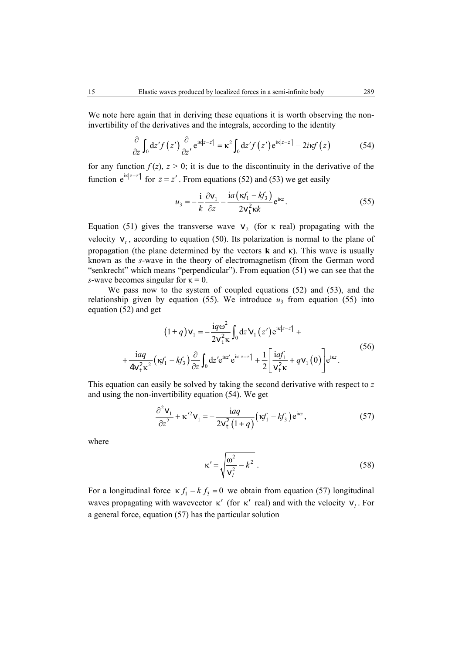We note here again that in deriving these equations it is worth observing the noninvertibility of the derivatives and the integrals, according to the identity

$$
\frac{\partial}{\partial z} \int_0 dz' f(z') \frac{\partial}{\partial z'} e^{i\kappa |z-z'|} = \kappa^2 \int_0 dz' f(z') e^{i\kappa |z-z'|} - 2i\kappa f(z)
$$
(54)

for any function  $f(z)$ ,  $z > 0$ ; it is due to the discontinuity in the derivative of the function  $e^{ik|z-z'|}$  for  $z = z'$ . From equations (52) and (53) we get easily

$$
u_3 = -\frac{\mathrm{i}}{k} \frac{\partial \mathbf{v}_1}{\partial z} - \frac{\mathrm{i}a(\kappa f_1 - k f_3)}{2\mathbf{v}_t^2 \kappa k} e^{\mathrm{i} \kappa z}.
$$
 (55)

Equation (51) gives the transverse wave  $v_2$  (for  $\kappa$  real) propagating with the velocity  $v_t$ , according to equation (50). Its polarization is normal to the plane of propagation (the plane determined by the vectors **k** and κ). This wave is usually known as the *s*-wave in the theory of electromagnetism (from the German word "senkrecht" which means "perpendicular"). From equation (51) we can see that the *s*-wave becomes singular for  $\kappa = 0$ .

We pass now to the system of coupled equations (52) and (53), and the relationship given by equation (55). We introduce  $u_3$  from equation (55) into equation (52) and get

$$
(1+q)\mathbf{v}_1 = -\frac{\mathbf{i}q\omega^2}{2\mathbf{v}_t^2\kappa} \int_0^1 dz' \mathbf{v}_1(z') e^{\mathbf{i}\kappa |z-z'|} +
$$
  
+ 
$$
\frac{\mathbf{i}aq}{4\mathbf{v}_t^2\kappa^2} (\kappa f_1 - k f_3) \frac{\partial}{\partial z} \int_0^1 dz' e^{\mathbf{i}\kappa z'} e^{\mathbf{i}\kappa |z-z'|} + \frac{1}{2} \left[ \frac{\mathbf{i}af_1}{\mathbf{v}_t^2\kappa} + q \mathbf{v}_1(0) \right] e^{\mathbf{i}\kappa z}.
$$
 (56)

This equation can easily be solved by taking the second derivative with respect to *z* and using the non-invertibility equation (54). We get

$$
\frac{\partial^2 \mathbf{v}_1}{\partial z^2} + \kappa'^2 \mathbf{v}_1 = -\frac{i a q}{2 \mathbf{v}_t^2 (1+q)} (\kappa f_1 - k f_3) e^{i \kappa z}, \tag{57}
$$

where

$$
\kappa' = \sqrt{\frac{\omega^2}{v_l^2} - k^2} \tag{58}
$$

For a longitudinal force  $\kappa f_1 - k f_2 = 0$  we obtain from equation (57) longitudinal waves propagating with wavevector  $\kappa'$  (for  $\kappa'$  real) and with the velocity  $\mathbf{v}_i$ . For a general force, equation (57) has the particular solution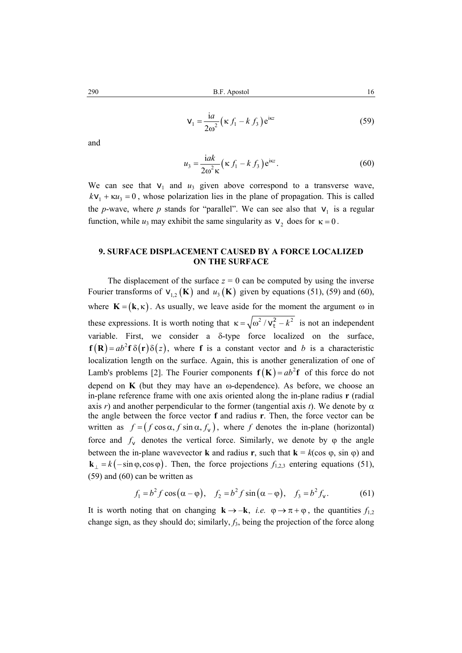$$
\mathbf{V}_1 = \frac{\mathrm{i}a}{2\omega^2} \left( \kappa f_1 - k f_3 \right) e^{\mathrm{i} \kappa z} \tag{59}
$$

and

$$
u_3 = \frac{\mathrm{i}ak}{2\omega^2 \kappa} \left(\kappa f_1 - k f_3\right) e^{\mathrm{i}kz}.\tag{60}
$$

We can see that  $v_1$  and  $u_3$  given above correspond to a transverse wave,  $kv_1 + \kappa u_3 = 0$ , whose polarization lies in the plane of propagation. This is called the *p*-wave, where *p* stands for "parallel". We can see also that  $v_1$  is a regular function, while  $u_3$  may exhibit the same singularity as  $v_2$  does for  $\kappa = 0$ .

## **9. SURFACE DISPLACEMENT CAUSED BY A FORCE LOCALIZED ON THE SURFACE**

The displacement of the surface  $z = 0$  can be computed by using the inverse Fourier transforms of  $v_{12}$  (**K**) and  $u_3$  (**K**) given by equations (51), (59) and (60), where  $\mathbf{K} = (\mathbf{k}, \kappa)$ . As usually, we leave aside for the moment the argument  $\omega$  in these expressions. It is worth noting that  $\kappa = \sqrt{\omega^2 / v_r^2 - k^2}$  is not an independent variable. First, we consider a δ-type force localized on the surface,  $f(R) = ab^2 f \delta(r) \delta(z)$ , where f is a constant vector and *b* is a characteristic localization length on the surface. Again, this is another generalization of one of Lamb's problems [2]. The Fourier components  $f(K) = ab^2f$  of this force do not depend on **K** (but they may have an  $\omega$ -dependence). As before, we choose an in-plane reference frame with one axis oriented along the in-plane radius **r** (radial axis *r*) and another perpendicular to the former (tangential axis *t*). We denote by  $\alpha$ the angle between the force vector **f** and radius **r**. Then, the force vector can be written as  $f = (f \cos \alpha, f \sin \alpha, f_{v})$ , where f denotes the in-plane (horizontal) force and  $f<sub>v</sub>$  denotes the vertical force. Similarly, we denote by  $\varphi$  the angle between the in-plane wavevector **k** and radius **r**, such that  $\mathbf{k} = k(\cos \varphi, \sin \varphi)$  and  $\mathbf{k}_{\perp} = k(-\sin \varphi, \cos \varphi)$ . Then, the force projections  $f_{1,2,3}$  entering equations (51), (59) and (60) can be written as

$$
f_1 = b^2 f \cos(\alpha - \varphi), \quad f_2 = b^2 f \sin(\alpha - \varphi), \quad f_3 = b^2 f_v.
$$
 (61)

It is worth noting that on changing  $\mathbf{k} \rightarrow -\mathbf{k}$ , *i.e.*  $\varphi \rightarrow \pi + \varphi$ , the quantities  $f_{1,2}$ change sign, as they should do; similarly, *f*3, being the projection of the force along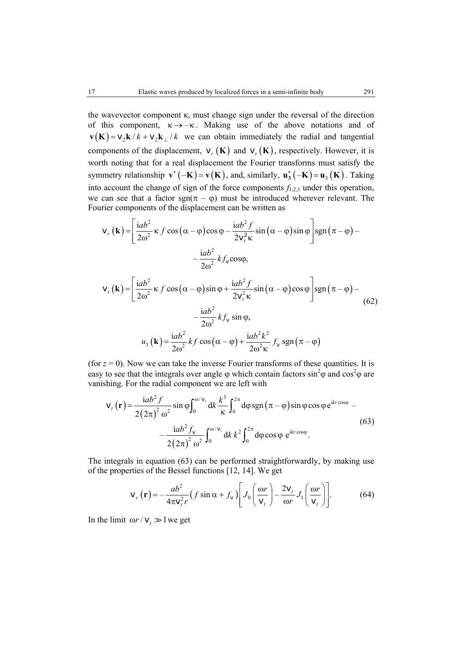the wavevector component  $\kappa$ , must change sign under the reversal of the direction of this component,  $\kappa \rightarrow -\kappa$ . Making use of the above notations and of  $\mathbf{v}(\mathbf{K}) = \mathbf{v}_2 \mathbf{k} / k + \mathbf{v}_2 \mathbf{k} / k$  we can obtain immediately the radial and tangential components of the displacement,  $v_r(K)$  and  $v_t(K)$ , respectively. However, it is worth noting that for a real displacement the Fourier transforms must satisfy the symmetry relationship  $\mathbf{v}^*(-\mathbf{K}) = \mathbf{v}(\mathbf{K})$ , and, similarly,  $\mathbf{u}_3^*(-\mathbf{K}) = \mathbf{u}_3(\mathbf{K})$ . Taking into account the change of sign of the force components  $f_{1,2,3}$  under this operation, we can see that a factor sgn( $\pi - \varphi$ ) must be introduced wherever relevant. The Fourier components of the displacement can be written as

$$
\mathbf{v}_{r}(\mathbf{k}) = \left[\frac{iab^{2}}{2\omega^{2}} \kappa f \cos(\alpha - \varphi) \cos \varphi - \frac{iab^{2}f}{2v_{r}^{2}\kappa} \sin(\alpha - \varphi) \sin \varphi\right] \text{sgn}(\pi - \varphi) -
$$

$$
- \frac{iab^{2}}{2\omega^{2}} k f_{v} \cos \varphi,
$$

$$
\mathbf{v}_{t}(\mathbf{k}) = \left[\frac{iab^{2}}{2\omega^{2}} \kappa f \cos(\alpha - \varphi) \sin \varphi + \frac{iab^{2}f}{2v_{t}^{2}\kappa} \sin(\alpha - \varphi) \cos \varphi\right] \text{sgn}(\pi - \varphi) -
$$

$$
- \frac{iab^{2}}{2\omega^{2}} k f_{v} \sin \varphi,
$$

$$
u_{3}(\mathbf{k}) = \frac{iab^{2}}{2\omega^{2}} k f \cos(\alpha - \varphi) + \frac{iab^{2}k^{2}}{2\omega^{2}\kappa} f_{v} \text{sgn}(\pi - \varphi)
$$
(62)

(for  $z = 0$ ). Now we can take the inverse Fourier transforms of these quantities. It is easy to see that the integrals over angle  $\varphi$  which contain factors  $\sin^2\varphi$  and  $\cos^2\varphi$  are vanishing. For the radial component we are left with

$$
\mathbf{v}_{t}(\mathbf{r}) = \frac{iab^{2} f}{2(2\pi)^{2} \omega^{2}} \sin \varphi \int_{0}^{\omega/v_{t}} dk \frac{k^{3}}{\kappa} \int_{0}^{2\pi} d\varphi \, \text{sgn}(\pi - \varphi) \sin \varphi \cos \varphi e^{ikr \cos \varphi} - \frac{iab^{2} f_{v}}{2(2\pi)^{2} \omega^{2}} \int_{0}^{\omega/v_{t}} dk \, k^{2} \int_{0}^{2\pi} d\varphi \cos \varphi e^{ikr \cos \varphi}.
$$
 (63)

The integrals in equation (63) can be performed straightforwardly, by making use of the properties of the Bessel functions [12, 14]. We get

$$
\mathbf{v}_r \left( \mathbf{r} \right) = -\frac{ab^2}{4\pi \mathbf{v}_t^2 r} \left( f \sin \alpha + f_\mathbf{v} \right) \left[ J_0 \left( \frac{\omega r}{\mathbf{v}_t} \right) - \frac{2\mathbf{v}_t}{\omega r} J_1 \left( \frac{\omega r}{\mathbf{v}_t} \right) \right]. \tag{64}
$$

In the limit  $\omega r / v_t \gg 1$  we get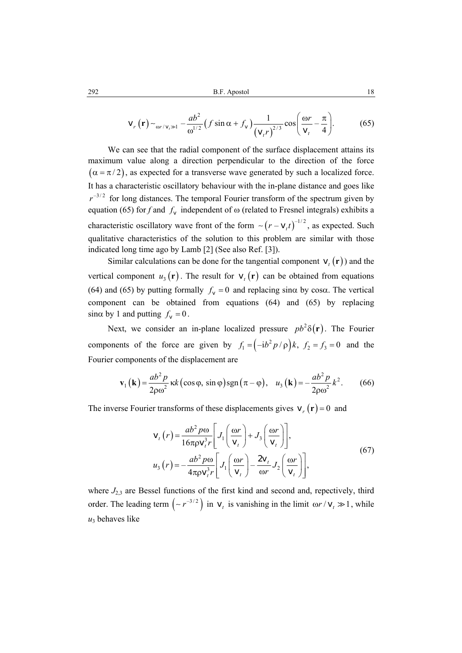$$
\mathbf{v}_r \left( \mathbf{r} \right) \sim_{\omega r / v_r \gg 1} -\frac{a b^2}{\omega^{1/2}} \left( f \sin \alpha + f_v \right) \frac{1}{\left( v_r r \right)^{2/3}} \cos \left( \frac{\omega r}{v_r} - \frac{\pi}{4} \right). \tag{65}
$$

We can see that the radial component of the surface displacement attains its maximum value along a direction perpendicular to the direction of the force  $(\alpha = \pi / 2)$ , as expected for a transverse wave generated by such a localized force. It has a characteristic oscillatory behaviour with the in-plane distance and goes like  $r^{-3/2}$  for long distances. The temporal Fourier transform of the spectrum given by equation (65) for *f* and  $f_v$  independent of  $\omega$  (related to Fresnel integrals) exhibits a characteristic oscillatory wave front of the form  $\sim (r - v_t t)^{-1/2}$ , as expected. Such qualitative characteristics of the solution to this problem are similar with those indicated long time ago by Lamb [2] (See also Ref. [3]).

Similar calculations can be done for the tangential component  $v_t(\mathbf{r})$  and the vertical component  $u_3(\mathbf{r})$ . The result for  $v_t(\mathbf{r})$  can be obtained from equations (64) and (65) by putting formally  $f_v = 0$  and replacing sin $\alpha$  by cos $\alpha$ . The vertical component can be obtained from equations (64) and (65) by replacing  $\sin \alpha$  by 1 and putting  $f_v = 0$ .

Next, we consider an in-plane localized pressure  $pb^2\delta(\mathbf{r})$ . The Fourier components of the force are given by  $f_1 = (-ib^2 p/\rho)k$ ,  $f_2 = f_3 = 0$  and the Fourier components of the displacement are

$$
\mathbf{v}_1(\mathbf{k}) = \frac{ab^2 p}{2\rho \omega^2} \kappa k \left(\cos\varphi, \sin\varphi\right) \operatorname{sgn}\left(\pi - \varphi\right), \quad u_3(\mathbf{k}) = -\frac{ab^2 p}{2\rho \omega^2} k^2. \tag{66}
$$

The inverse Fourier transforms of these displacements gives  $v_r(\mathbf{r}) = 0$  and

$$
\mathbf{v}_{t}(r) = \frac{ab^{2} p \omega}{16 \pi \rho \mathbf{v}_{t}^{3} r} \left[ J_{1} \left( \frac{\omega r}{\mathbf{v}_{t}} \right) + J_{3} \left( \frac{\omega r}{\mathbf{v}_{t}} \right) \right],
$$
  
\n
$$
u_{3}(r) = -\frac{ab^{2} p \omega}{4 \pi \rho \mathbf{v}_{t}^{3} r} \left[ J_{1} \left( \frac{\omega r}{\mathbf{v}_{t}} \right) - \frac{2 \mathbf{v}_{t}}{\omega r} J_{2} \left( \frac{\omega r}{\mathbf{v}_{t}} \right) \right],
$$
\n(67)

where  $J_{2,3}$  are Bessel functions of the first kind and second and, repectively, third order. The leading term  $(-r^{-3/2})$  in  $v_t$  is vanishing in the limit  $\omega r / v_t \gg 1$ , while  $u_3$  behaves like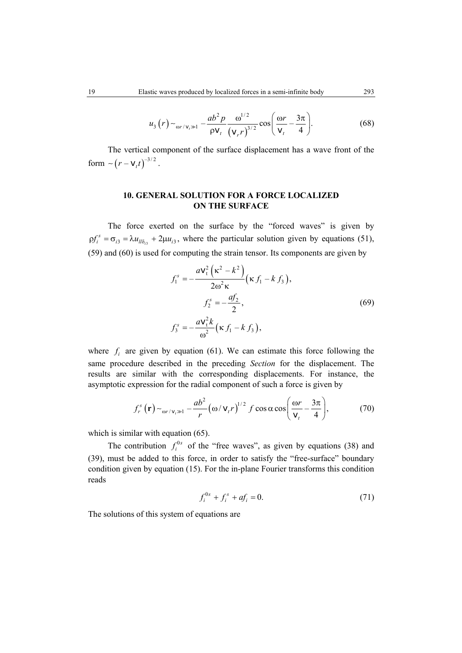$$
u_3(r) \sim_{\text{or } |\mathbf{v}_t \gg 1} \frac{ab^2 p}{\rho \mathbf{V}_t} \frac{\omega^{1/2}}{(\mathbf{v}_r r)^{3/2}} \cos \left( \frac{\omega r}{\mathbf{V}_t} - \frac{3\pi}{4} \right).
$$
 (68)

The vertical component of the surface displacement has a wave front of the form  $\sim (r - v_t t)^{-3/2}$ .

# **10. GENERAL SOLUTION FOR A FORCE LOCALIZED ON THE SURFACE**

The force exerted on the surface by the "forced waves" is given by  $\varphi f_i^s = \sigma_{i3} = \lambda u_{li\delta_{i3}} + 2\mu u_{i3}$ , where the particular solution given by equations (51), (59) and (60) is used for computing the strain tensor. Its components are given by

$$
f_1^s = -\frac{a v_t^2 \left(\kappa^2 - k^2\right)}{2\omega^2 \kappa} \left(\kappa f_1 - k f_3\right),
$$
  
\n
$$
f_2^s = -\frac{a f_2}{2},
$$
  
\n
$$
f_3^s = -\frac{a v_t^2 k}{\omega^2} \left(\kappa f_1 - k f_3\right),
$$
  
\n(69)

where  $f_i$  are given by equation (61). We can estimate this force following the same procedure described in the preceding *Section* for the displacement. The results are similar with the corresponding displacements. For instance, the asymptotic expression for the radial component of such a force is given by

$$
f_r^s(\mathbf{r}) \sim_{\omega_r/v_r \gg 1} -\frac{ab^2}{r} \left(\omega/v_r r\right)^{1/2} f \cos \alpha \cos \left(\frac{\omega r}{v_t} - \frac{3\pi}{4}\right),\tag{70}
$$

which is similar with equation  $(65)$ .

The contribution  $f_i^{0s}$  of the "free waves", as given by equations (38) and (39), must be added to this force, in order to satisfy the "free-surface" boundary condition given by equation (15). For the in-plane Fourier transforms this condition reads

$$
f_i^{0s} + f_i^s + af_i = 0.
$$
 (71)

The solutions of this system of equations are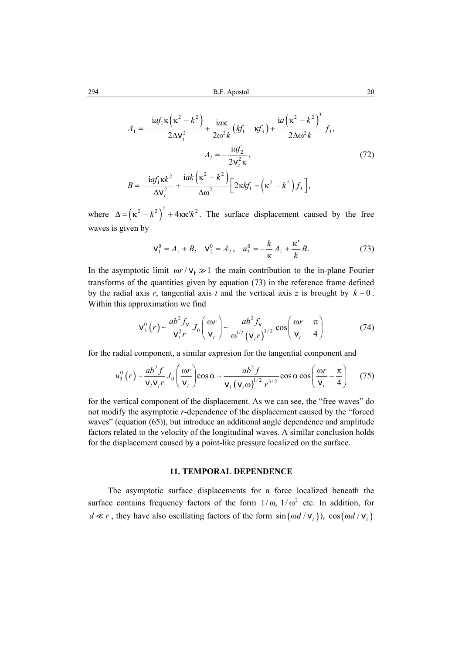$$
A_1 = -\frac{iaf_1\kappa(\kappa^2 - k^2)}{2\Delta v_t^2} + \frac{i a\kappa}{2\omega^2 k}(kf_1 - \kappa f_3) + \frac{i a(\kappa^2 - k^2)^3}{2\Delta \omega^2 k} f_3,
$$
  

$$
A_2 = -\frac{iaf_2}{2v_t^2 \kappa},
$$
  

$$
B = -\frac{iaf_1\kappa k^2}{\Delta v_t^2} + \frac{i a k(\kappa^2 - k^2)}{\Delta \omega^2} \Big[ 2\kappa kf_1 + (\kappa^2 - k^2) f_3 \Big],
$$
 (72)

where  $\Delta = (\kappa^2 - k^2)^2 + 4\kappa\kappa' k^2$ . The surface displacement caused by the free waves is given by

$$
\mathbf{v}_1^0 = A_1 + B, \quad \mathbf{v}_2^0 = A_2, \quad u_3^0 = -\frac{k}{\kappa} A_1 + \frac{\kappa'}{k} B. \tag{73}
$$

In the asymptotic limit  $\omega r / v_t \gg 1$  the main contribution to the in-plane Fourier transforms of the quantities given by equation (73) in the reference frame defined by the radial axis *r*, tangential axis *t* and the vertical axis *z* is brought by  $k \sim 0$ . Within this approximation we find

$$
\mathbf{v}_3^0(r) \sim \frac{ab^2 f_v}{\mathbf{v}_t^2 r} J_0\left(\frac{\omega r}{\mathbf{v}_t}\right) \sim \frac{ab^2 f_v}{\omega^{1/2} (\mathbf{v}_t r)^{3/2}} \cos\left(\frac{\omega r}{\mathbf{v}_t} - \frac{\pi}{4}\right)
$$
(74)

for the radial component, a similar expresion for the tangential component and

$$
u_3^0(r) \sim \frac{ab^2 f}{\mathbf{v}_l \mathbf{v}_l r} J_0\left(\frac{\omega r}{\mathbf{v}_l}\right) \cos \alpha \sim \frac{ab^2 f}{\mathbf{v}_l \left(\mathbf{v}_l \omega\right)^{1/2} r^{3/2}} \cos \alpha \cos \left(\frac{\omega r}{\mathbf{v}_l} - \frac{\pi}{4}\right) \tag{75}
$$

for the vertical component of the displacement. As we can see, the "free waves" do not modify the asymptotic *r*-dependence of the displacement caused by the "forced waves" (equation (65)), but introduce an additional angle dependence and amplitude factors related to the velocity of the longitudinal waves. A similar conclusion holds for the displacement caused by a point-like pressure localized on the surface.

## **11. TEMPORAL DEPENDENCE**

The asymptotic surface displacements for a force localized beneath the surface contains frequency factors of the form  $1/\omega$ ,  $1/\omega^2$  etc. In addition, for  $d \ll r$ , they have also oscillating factors of the form  $\sin(\omega d / v_t)$ ,  $\cos(\omega d / v_t)$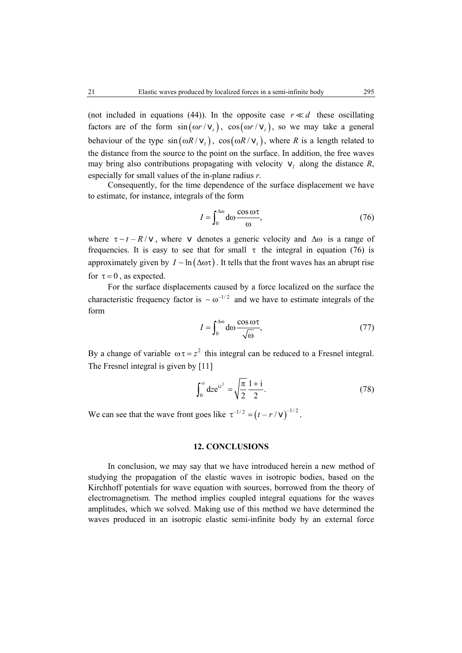(not included in equations (44)). In the opposite case  $r \ll d$  these oscillating factors are of the form  $sin(\omega r / v_t)$ ,  $cos(\omega r / v_t)$ , so we may take a general behaviour of the type  $sin(\omega R/v_t)$ ,  $cos(\omega R/v_t)$ , where *R* is a length related to the distance from the source to the point on the surface. In addition, the free waves may bring also contributions propagating with velocity  $\mathbf{v}_l$  along the distance *R*, especially for small values of the in-plane radius *r*.

Consequently, for the time dependence of the surface displacement we have to estimate, for instance, integrals of the form

$$
I = \int_0^{\Delta \omega} d\omega \frac{\cos \omega \tau}{\omega},\tag{76}
$$

where  $\tau \sim t - R/v$ , where v denotes a generic velocity and  $\Delta \omega$  is a range of frequencies. It is easy to see that for small  $\tau$  the integral in equation (76) is approximately given by  $I \sim \ln(\Delta \omega \tau)$ . It tells that the front waves has an abrupt rise for  $\tau = 0$ , as expected.

For the surface displacements caused by a force localized on the surface the characteristic frequency factor is  $\sim \omega^{-1/2}$  and we have to estimate integrals of the form

$$
I = \int_0^{\Delta \omega} d\omega \frac{\cos \omega \tau}{\sqrt{\omega}},\tag{77}
$$

By a change of variable  $\omega \tau = z^2$  this integral can be reduced to a Fresnel integral. The Fresnel integral is given by [11]

$$
\int_0^\infty dz e^{iz^2} = \sqrt{\frac{\pi}{2}} \frac{1+i}{2}.
$$
 (78)

We can see that the wave front goes like  $\tau^{-1/2} = (t - r / v)^{-1/2}$ .

# **12. CONCLUSIONS**

In conclusion, we may say that we have introduced herein a new method of studying the propagation of the elastic waves in isotropic bodies, based on the Kirchhoff potentials for wave equation with sources, borrowed from the theory of electromagnetism. The method implies coupled integral equations for the waves amplitudes, which we solved. Making use of this method we have determined the waves produced in an isotropic elastic semi-infinite body by an external force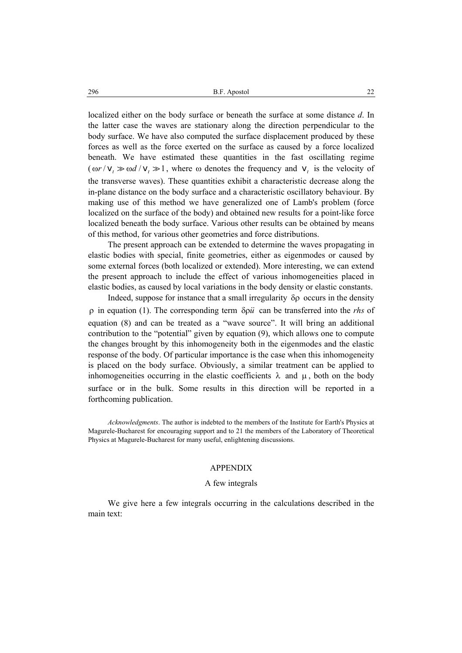localized either on the body surface or beneath the surface at some distance *d*. In the latter case the waves are stationary along the direction perpendicular to the body surface. We have also computed the surface displacement produced by these forces as well as the force exerted on the surface as caused by a force localized beneath. We have estimated these quantities in the fast oscillating regime  $(\omega r / v_t \gg \omega d / v_t \gg 1$ , where  $\omega$  denotes the frequency and  $v_t$  is the velocity of the transverse waves). These quantities exhibit a characteristic decrease along the in-plane distance on the body surface and a characteristic oscillatory behaviour. By making use of this method we have generalized one of Lamb's problem (force localized on the surface of the body) and obtained new results for a point-like force localized beneath the body surface. Various other results can be obtained by means of this method, for various other geometries and force distributions.

The present approach can be extended to determine the waves propagating in elastic bodies with special, finite geometries, either as eigenmodes or caused by some external forces (both localized or extended). More interesting, we can extend the present approach to include the effect of various inhomogeneities placed in elastic bodies, as caused by local variations in the body density or elastic constants.

Indeed, suppose for instance that a small irregularity δρ occurs in the density ρ in equation (1). The corresponding term δρ*u* can be transferred into the *rhs* of equation (8) and can be treated as a "wave source". It will bring an additional contribution to the "potential" given by equation (9), which allows one to compute the changes brought by this inhomogeneity both in the eigenmodes and the elastic response of the body. Of particular importance is the case when this inhomogeneity is placed on the body surface. Obviously, a similar treatment can be applied to inhomogeneities occurring in the elastic coefficients  $\lambda$  and  $\mu$ , both on the body surface or in the bulk. Some results in this direction will be reported in a forthcoming publication.

*Acknowledgments*. The author is indebted to the members of the Institute for Earth's Physics at Magurele-Bucharest for encouraging support and to 21 the members of the Laboratory of Theoretical Physics at Magurele-Bucharest for many useful, enlightening discussions.

### APPENDIX

#### A few integrals

We give here a few integrals occurring in the calculations described in the main text: